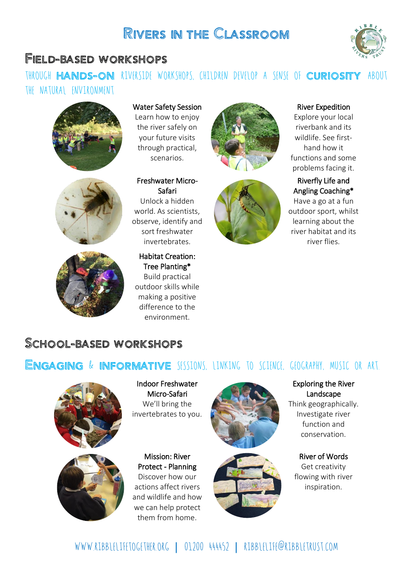# Rivers in the Classroom

### Field-based workshops

### THROUGH HANDS-ON RIVERSIDE WORKSHOPS, CHILDREN DEVELOP A SENSE OF CURIOSITY ABOUT the natural environment







Water Safety Session Learn how to enjoy the river safely on your future visits through practical, scenarios.

Freshwater Micro-Safari Unlock a hidden world. As scientists, observe, identify and sort freshwater invertebrates.

Habitat Creation: Tree Planting\* Build practical outdoor skills while making a positive difference to the environment.





### River Expedition

Explore your local riverbank and its wildlife. See firsthand how it functions and some problems facing it.

### Riverfly Life and Angling Coaching\*

Have a go at a fun outdoor sport, whilst learning about the river habitat and its river flies.

# School-based workshops

### ENGAGING & INFORMATIVE SESSIONS, LINKING TO SCIENCE, GEOGRAPHY, MUSIC OR ART.





Indoor Freshwater Micro-Safari We'll bring the invertebrates to you.

Mission: River Protect - Planning Discover how our actions affect rivers and wildlife and how we can help protect them from home.





#### Exploring the River Landscape

Think geographically. Investigate river function and conservation.

River of Words Get creativity flowing with river inspiration.